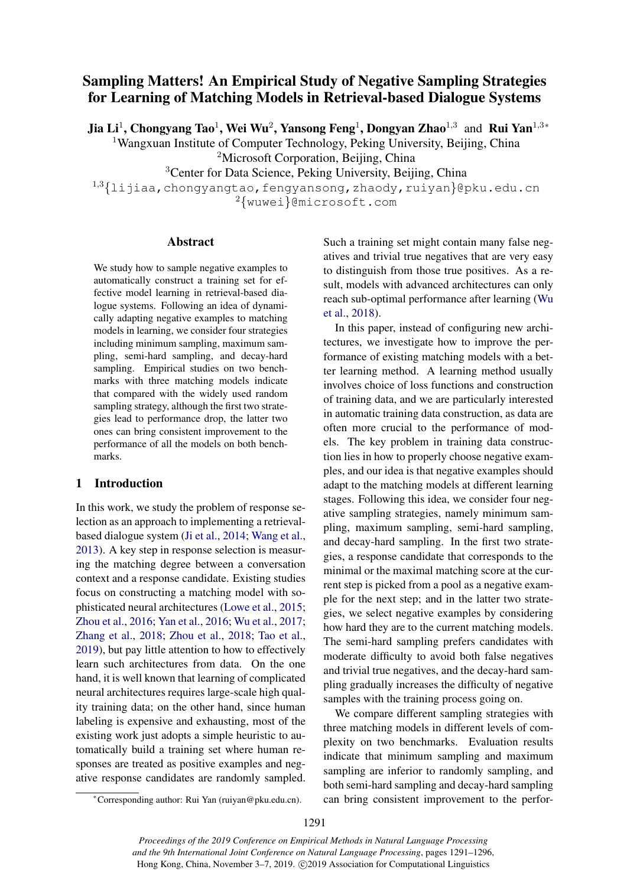# Sampling Matters! An Empirical Study of Negative Sampling Strategies for Learning of Matching Models in Retrieval-based Dialogue Systems

Jia Li<sup>1</sup>, Chongyang Tao<sup>1</sup>, Wei Wu<sup>2</sup>, Yansong Feng<sup>1</sup>, Dongyan Zhao<sup>1,3</sup> and Rui Yan<sup>1,3</sup>\*

<sup>1</sup>Wangxuan Institute of Computer Technology, Peking University, Beijing, China

<sup>2</sup>Microsoft Corporation, Beijing, China

<sup>3</sup>Center for Data Science, Peking University, Beijing, China

 $1,3$ {lijiaa,chongyangtao,fengyansong,zhaody,ruiyan}@pku.edu.cn <sup>2</sup>{wuwei}@microsoft.com

#### Abstract

We study how to sample negative examples to automatically construct a training set for effective model learning in retrieval-based dialogue systems. Following an idea of dynamically adapting negative examples to matching models in learning, we consider four strategies including minimum sampling, maximum sampling, semi-hard sampling, and decay-hard sampling. Empirical studies on two benchmarks with three matching models indicate that compared with the widely used random sampling strategy, although the first two strategies lead to performance drop, the latter two ones can bring consistent improvement to the performance of all the models on both benchmarks.

# 1 Introduction

In this work, we study the problem of response selection as an approach to implementing a retrievalbased dialogue system [\(Ji et al.,](#page-4-0) [2014;](#page-4-0) [Wang et al.,](#page-4-1) [2013\)](#page-4-1). A key step in response selection is measuring the matching degree between a conversation context and a response candidate. Existing studies focus on constructing a matching model with sophisticated neural architectures [\(Lowe et al.,](#page-4-2) [2015;](#page-4-2) [Zhou et al.,](#page-5-0) [2016;](#page-5-0) [Yan et al.,](#page-5-1) [2016;](#page-5-1) [Wu et al.,](#page-5-2) [2017;](#page-5-2) [Zhang et al.,](#page-5-3) [2018;](#page-5-3) [Zhou et al.,](#page-5-4) [2018;](#page-5-4) [Tao et al.,](#page-4-3) [2019\)](#page-4-3), but pay little attention to how to effectively learn such architectures from data. On the one hand, it is well known that learning of complicated neural architectures requires large-scale high quality training data; on the other hand, since human labeling is expensive and exhausting, most of the existing work just adopts a simple heuristic to automatically build a training set where human responses are treated as positive examples and negative response candidates are randomly sampled. Such a training set might contain many false negatives and trivial true negatives that are very easy to distinguish from those true positives. As a result, models with advanced architectures can only reach sub-optimal performance after learning [\(Wu](#page-4-4) [et al.,](#page-4-4) [2018\)](#page-4-4).

In this paper, instead of configuring new architectures, we investigate how to improve the performance of existing matching models with a better learning method. A learning method usually involves choice of loss functions and construction of training data, and we are particularly interested in automatic training data construction, as data are often more crucial to the performance of models. The key problem in training data construction lies in how to properly choose negative examples, and our idea is that negative examples should adapt to the matching models at different learning stages. Following this idea, we consider four negative sampling strategies, namely minimum sampling, maximum sampling, semi-hard sampling, and decay-hard sampling. In the first two strategies, a response candidate that corresponds to the minimal or the maximal matching score at the current step is picked from a pool as a negative example for the next step; and in the latter two strategies, we select negative examples by considering how hard they are to the current matching models. The semi-hard sampling prefers candidates with moderate difficulty to avoid both false negatives and trivial true negatives, and the decay-hard sampling gradually increases the difficulty of negative samples with the training process going on.

We compare different sampling strategies with three matching models in different levels of complexity on two benchmarks. Evaluation results indicate that minimum sampling and maximum sampling are inferior to randomly sampling, and both semi-hard sampling and decay-hard sampling can bring consistent improvement to the perfor-

<sup>∗</sup>Corresponding author: Rui Yan (ruiyan@pku.edu.cn).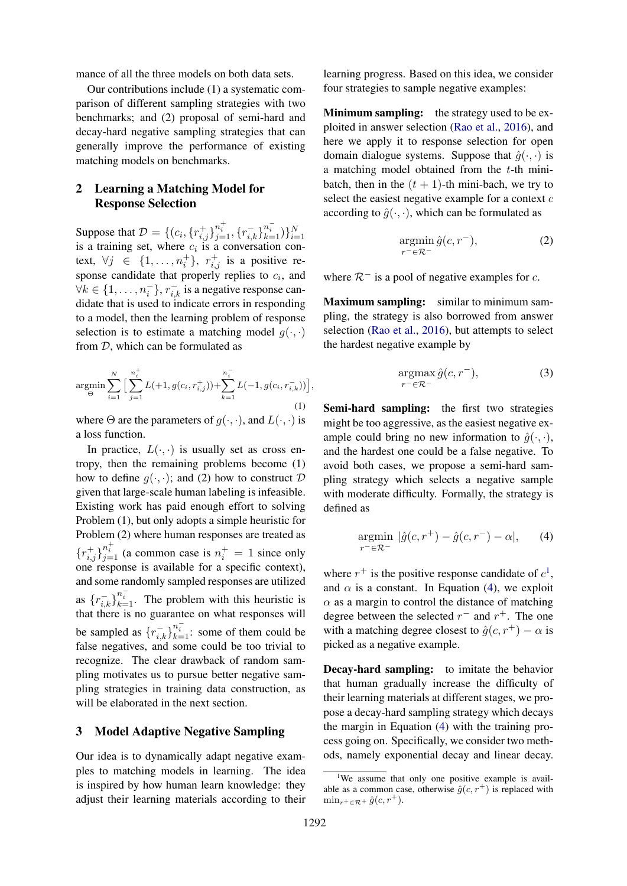mance of all the three models on both data sets.

Our contributions include (1) a systematic comparison of different sampling strategies with two benchmarks; and (2) proposal of semi-hard and decay-hard negative sampling strategies that can generally improve the performance of existing matching models on benchmarks.

# 2 Learning a Matching Model for Response Selection

Suppose that  $\mathcal{D} = \{(c_i, \{r_{i,j}^+\}_{j=1}^{n_i^+}, \{r_{i,k}^-\}_{k=1}^{n_i^-})\}_{i=1}^N$ is a training set, where  $c_i$  is a conversation context,  $\forall j \in \{1, \ldots, n_i^+\}, r_{i,j}^+$  is a positive response candidate that properly replies to  $c_i$ , and  $\forall k \in \{1, \ldots, n_i^-\}, r_{i,k}^-\$  is a negative response candidate that is used to indicate errors in responding to a model, then the learning problem of response selection is to estimate a matching model  $g(\cdot, \cdot)$ from  $D$ , which can be formulated as

$$
\underset{\Theta}{\operatorname{argmin}} \sum_{i=1}^{N} \Big[ \sum_{j=1}^{n_i^{+}} L(+1, g(c_i, r_{i,j}^{+})) + \sum_{k=1}^{n_i^{-}} L(-1, g(c_i, r_{i,k}^{-})) \Big] \tag{1}
$$

where  $\Theta$  are the parameters of  $g(\cdot, \cdot)$ , and  $L(\cdot, \cdot)$  is a loss function.

In practice,  $L(\cdot, \cdot)$  is usually set as cross entropy, then the remaining problems become (1) how to define  $g(\cdot, \cdot)$ ; and (2) how to construct  $D$ given that large-scale human labeling is infeasible. Existing work has paid enough effort to solving Problem (1), but only adopts a simple heuristic for Problem (2) where human responses are treated as  ${r_{i,j}^+}_{j=1}^{n_i^+}$  (a common case is  $n_i^+ = 1$  since only one response is available for a specific context), and some randomly sampled responses are utilized as  $\{r_{i,k}^{-}\}_{k=1}^{n_{i}^{-}}$ . The problem with this heuristic is that there is no guarantee on what responses will be sampled as  $\{r_{i,k}^{-}\}_{k=1}^{n_{i}^{-}}$ : some of them could be false negatives, and some could be too trivial to recognize. The clear drawback of random sampling motivates us to pursue better negative sampling strategies in training data construction, as will be elaborated in the next section.

# <span id="page-1-2"></span>3 Model Adaptive Negative Sampling

Our idea is to dynamically adapt negative examples to matching models in learning. The idea is inspired by how human learn knowledge: they adjust their learning materials according to their learning progress. Based on this idea, we consider four strategies to sample negative examples:

Minimum sampling: the strategy used to be exploited in answer selection [\(Rao et al.,](#page-4-5) [2016\)](#page-4-5), and here we apply it to response selection for open domain dialogue systems. Suppose that  $\hat{g}(\cdot,\cdot)$  is a matching model obtained from the  $t$ -th minibatch, then in the  $(t + 1)$ -th mini-bach, we try to select the easiest negative example for a context  $c$ according to  $\hat{q}(\cdot, \cdot)$ , which can be formulated as

$$
\underset{r^{-} \in \mathcal{R}^{-}}{\operatorname{argmin}} \hat{g}(c, r^{-}),\tag{2}
$$

where  $\mathcal{R}^-$  is a pool of negative examples for c.

Maximum sampling: similar to minimum sampling, the strategy is also borrowed from answer selection [\(Rao et al.,](#page-4-5) [2016\)](#page-4-5), but attempts to select the hardest negative example by

$$
\underset{r^- \in \mathcal{R}^-}{\operatorname{argmax}} \hat{g}(c, r^-),\tag{3}
$$

Semi-hard sampling: the first two strategies might be too aggressive, as the easiest negative example could bring no new information to  $\hat{q}(\cdot,\cdot)$ , and the hardest one could be a false negative. To avoid both cases, we propose a semi-hard sampling strategy which selects a negative sample with moderate difficulty. Formally, the strategy is defined as

<span id="page-1-1"></span>
$$
\underset{r^{-} \in \mathcal{R}^{-}}{\operatorname{argmin}} \, |\hat{g}(c, r^{+}) - \hat{g}(c, r^{-}) - \alpha|, \qquad (4)
$$

where  $r^+$  is the positive response candidate of  $c^1$  $c^1$ , and  $\alpha$  is a constant. In Equation [\(4\)](#page-1-1), we exploit  $\alpha$  as a margin to control the distance of matching degree between the selected  $r^-$  and  $r^+$ . The one with a matching degree closest to  $\hat{g}(c, r^+) - \alpha$  is picked as a negative example.

Decay-hard sampling: to imitate the behavior that human gradually increase the difficulty of their learning materials at different stages, we propose a decay-hard sampling strategy which decays the margin in Equation [\(4\)](#page-1-1) with the training process going on. Specifically, we consider two methods, namely exponential decay and linear decay.

,

<span id="page-1-0"></span><sup>&</sup>lt;sup>1</sup>We assume that only one positive example is available as a common case, otherwise  $\hat{q}(c, r^+)$  is replaced with  $\min_{r^+ \in \mathcal{R}^+} \hat{g}(c, r^+).$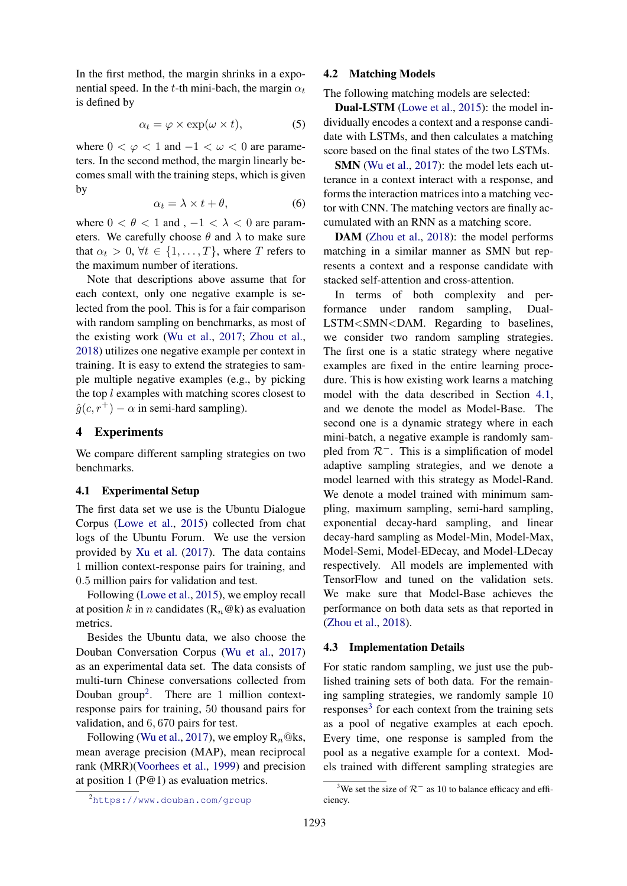In the first method, the margin shrinks in a exponential speed. In the t-th mini-bach, the margin  $\alpha_t$ is defined by

$$
\alpha_t = \varphi \times \exp(\omega \times t), \tag{5}
$$

where  $0 < \varphi < 1$  and  $-1 < \omega < 0$  are parameters. In the second method, the margin linearly becomes small with the training steps, which is given by

$$
\alpha_t = \lambda \times t + \theta,\tag{6}
$$

where  $0 < \theta < 1$  and  $, -1 < \lambda < 0$  are parameters. We carefully choose  $\theta$  and  $\lambda$  to make sure that  $\alpha_t > 0$ ,  $\forall t \in \{1, ..., T\}$ , where T refers to the maximum number of iterations.

Note that descriptions above assume that for each context, only one negative example is selected from the pool. This is for a fair comparison with random sampling on benchmarks, as most of the existing work [\(Wu et al.,](#page-5-2) [2017;](#page-5-2) [Zhou et al.,](#page-5-4) [2018\)](#page-5-4) utilizes one negative example per context in training. It is easy to extend the strategies to sample multiple negative examples (e.g., by picking the top l examples with matching scores closest to  $\hat{g}(c, r^+)$  –  $\alpha$  in semi-hard sampling).

# 4 Experiments

We compare different sampling strategies on two benchmarks.

# <span id="page-2-1"></span>4.1 Experimental Setup

The first data set we use is the Ubuntu Dialogue Corpus [\(Lowe et al.,](#page-4-2) [2015\)](#page-4-2) collected from chat logs of the Ubuntu Forum. We use the version provided by [Xu et al.](#page-5-5) [\(2017\)](#page-5-5). The data contains 1 million context-response pairs for training, and 0.5 million pairs for validation and test.

Following [\(Lowe et al.,](#page-4-2) [2015\)](#page-4-2), we employ recall at position k in n candidates  $(R_n@k)$  as evaluation metrics.

Besides the Ubuntu data, we also choose the Douban Conversation Corpus [\(Wu et al.,](#page-5-2) [2017\)](#page-5-2) as an experimental data set. The data consists of multi-turn Chinese conversations collected from Douban group<sup>[2](#page-2-0)</sup>. There are 1 million contextresponse pairs for training, 50 thousand pairs for validation, and 6, 670 pairs for test.

Following [\(Wu et al.,](#page-5-2) [2017\)](#page-5-2), we employ  $R_n@$ ks, mean average precision (MAP), mean reciprocal rank (MRR)[\(Voorhees et al.,](#page-4-6) [1999\)](#page-4-6) and precision at position 1 (P@1) as evaluation metrics.

#### 4.2 Matching Models

The following matching models are selected:

Dual-LSTM [\(Lowe et al.,](#page-4-2) [2015\)](#page-4-2): the model individually encodes a context and a response candidate with LSTMs, and then calculates a matching score based on the final states of the two LSTMs.

SMN [\(Wu et al.,](#page-5-2) [2017\)](#page-5-2): the model lets each utterance in a context interact with a response, and forms the interaction matrices into a matching vector with CNN. The matching vectors are finally accumulated with an RNN as a matching score.

DAM [\(Zhou et al.,](#page-5-4) [2018\)](#page-5-4): the model performs matching in a similar manner as SMN but represents a context and a response candidate with stacked self-attention and cross-attention.

In terms of both complexity and performance under random sampling, Dual-LSTM<SMN<DAM. Regarding to baselines, we consider two random sampling strategies. The first one is a static strategy where negative examples are fixed in the entire learning procedure. This is how existing work learns a matching model with the data described in Section [4.1,](#page-2-1) and we denote the model as Model-Base. The second one is a dynamic strategy where in each mini-batch, a negative example is randomly sampled from  $\mathcal{R}^-$ . This is a simplification of model adaptive sampling strategies, and we denote a model learned with this strategy as Model-Rand. We denote a model trained with minimum sampling, maximum sampling, semi-hard sampling, exponential decay-hard sampling, and linear decay-hard sampling as Model-Min, Model-Max, Model-Semi, Model-EDecay, and Model-LDecay respectively. All models are implemented with TensorFlow and tuned on the validation sets. We make sure that Model-Base achieves the performance on both data sets as that reported in [\(Zhou et al.,](#page-5-4) [2018\)](#page-5-4).

#### 4.3 Implementation Details

For static random sampling, we just use the published training sets of both data. For the remaining sampling strategies, we randomly sample 10  $resposes<sup>3</sup>$  $resposes<sup>3</sup>$  $resposes<sup>3</sup>$  for each context from the training sets as a pool of negative examples at each epoch. Every time, one response is sampled from the pool as a negative example for a context. Models trained with different sampling strategies are

<span id="page-2-0"></span><sup>2</sup><https://www.douban.com/group>

<span id="page-2-2"></span><sup>&</sup>lt;sup>3</sup>We set the size of  $\mathcal{R}^-$  as 10 to balance efficacy and efficiency.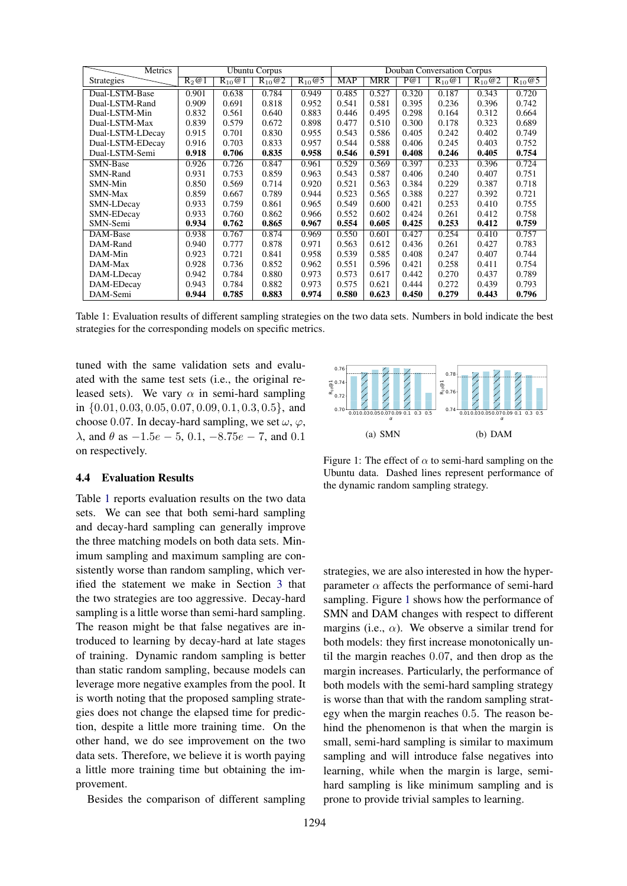<span id="page-3-0"></span>

| Metrics           | <b>Ubuntu Corpus</b> |                       |              |              | Douban Conversation Corpus |            |       |                       |              |              |
|-------------------|----------------------|-----------------------|--------------|--------------|----------------------------|------------|-------|-----------------------|--------------|--------------|
| <b>Strategies</b> | $R_2@1$              | $\overline{R_{10}}@1$ | $R_{10}$ @ 2 | $R_{10}$ @ 5 | <b>MAP</b>                 | <b>MRR</b> | P@1   | $\overline{R_{10}}@1$ | $R_{10}$ @ 2 | $R_{10}$ @ 5 |
| Dual-LSTM-Base    | 0.901                | 0.638                 | 0.784        | 0.949        | 0.485                      | 0.527      | 0.320 | 0.187                 | 0.343        | 0.720        |
| Dual-LSTM-Rand    | 0.909                | 0.691                 | 0.818        | 0.952        | 0.541                      | 0.581      | 0.395 | 0.236                 | 0.396        | 0.742        |
| Dual-LSTM-Min     | 0.832                | 0.561                 | 0.640        | 0.883        | 0.446                      | 0.495      | 0.298 | 0.164                 | 0.312        | 0.664        |
| Dual-LSTM-Max     | 0.839                | 0.579                 | 0.672        | 0.898        | 0.477                      | 0.510      | 0.300 | 0.178                 | 0.323        | 0.689        |
| Dual-LSTM-LDecay  | 0.915                | 0.701                 | 0.830        | 0.955        | 0.543                      | 0.586      | 0.405 | 0.242                 | 0.402        | 0.749        |
| Dual-LSTM-EDecay  | 0.916                | 0.703                 | 0.833        | 0.957        | 0.544                      | 0.588      | 0.406 | 0.245                 | 0.403        | 0.752        |
| Dual-LSTM-Semi    | 0.918                | 0.706                 | 0.835        | 0.958        | 0.546                      | 0.591      | 0.408 | 0.246                 | 0.405        | 0.754        |
| SMN-Base          | 0.926                | 0.726                 | 0.847        | 0.961        | 0.529                      | 0.569      | 0.397 | 0.233                 | 0.396        | 0.724        |
| SMN-Rand          | 0.931                | 0.753                 | 0.859        | 0.963        | 0.543                      | 0.587      | 0.406 | 0.240                 | 0.407        | 0.751        |
| SMN-Min           | 0.850                | 0.569                 | 0.714        | 0.920        | 0.521                      | 0.563      | 0.384 | 0.229                 | 0.387        | 0.718        |
| SMN-Max           | 0.859                | 0.667                 | 0.789        | 0.944        | 0.523                      | 0.565      | 0.388 | 0.227                 | 0.392        | 0.721        |
| SMN-LDecay        | 0.933                | 0.759                 | 0.861        | 0.965        | 0.549                      | 0.600      | 0.421 | 0.253                 | 0.410        | 0.755        |
| SMN-EDecay        | 0.933                | 0.760                 | 0.862        | 0.966        | 0.552                      | 0.602      | 0.424 | 0.261                 | 0.412        | 0.758        |
| SMN-Semi          | 0.934                | 0.762                 | 0.865        | 0.967        | 0.554                      | 0.605      | 0.425 | 0.253                 | 0.412        | 0.759        |
| DAM-Base          | 0.938                | 0.767                 | 0.874        | 0.969        | 0.550                      | 0.601      | 0.427 | 0.254                 | 0.410        | 0.757        |
| DAM-Rand          | 0.940                | 0.777                 | 0.878        | 0.971        | 0.563                      | 0.612      | 0.436 | 0.261                 | 0.427        | 0.783        |
| DAM-Min           | 0.923                | 0.721                 | 0.841        | 0.958        | 0.539                      | 0.585      | 0.408 | 0.247                 | 0.407        | 0.744        |
| DAM-Max           | 0.928                | 0.736                 | 0.852        | 0.962        | 0.551                      | 0.596      | 0.421 | 0.258                 | 0.411        | 0.754        |
| DAM-LDecay        | 0.942                | 0.784                 | 0.880        | 0.973        | 0.573                      | 0.617      | 0.442 | 0.270                 | 0.437        | 0.789        |
| DAM-EDecay        | 0.943                | 0.784                 | 0.882        | 0.973        | 0.575                      | 0.621      | 0.444 | 0.272                 | 0.439        | 0.793        |
| DAM-Semi          | 0.944                | 0.785                 | 0.883        | 0.974        | 0.580                      | 0.623      | 0.450 | 0.279                 | 0.443        | 0.796        |

Table 1: Evaluation results of different sampling strategies on the two data sets. Numbers in bold indicate the best strategies for the corresponding models on specific metrics.

tuned with the same validation sets and evaluated with the same test sets (i.e., the original released sets). We vary  $\alpha$  in semi-hard sampling in {0.01, 0.03, 0.05, 0.07, 0.09, 0.1, 0.3, 0.5}, and choose 0.07. In decay-hard sampling, we set  $\omega$ ,  $\varphi$ ,  $\lambda$ , and  $\theta$  as  $-1.5e - 5$ , 0.1,  $-8.75e - 7$ , and 0.1 on respectively.

# 4.4 Evaluation Results

Table [1](#page-3-0) reports evaluation results on the two data sets. We can see that both semi-hard sampling and decay-hard sampling can generally improve the three matching models on both data sets. Minimum sampling and maximum sampling are consistently worse than random sampling, which verified the statement we make in Section [3](#page-1-2) that the two strategies are too aggressive. Decay-hard sampling is a little worse than semi-hard sampling. The reason might be that false negatives are introduced to learning by decay-hard at late stages of training. Dynamic random sampling is better than static random sampling, because models can leverage more negative examples from the pool. It is worth noting that the proposed sampling strategies does not change the elapsed time for prediction, despite a little more training time. On the other hand, we do see improvement on the two data sets. Therefore, we believe it is worth paying a little more training time but obtaining the improvement.

Besides the comparison of different sampling

<span id="page-3-1"></span>

Figure 1: The effect of  $\alpha$  to semi-hard sampling on the Ubuntu data. Dashed lines represent performance of the dynamic random sampling strategy.

strategies, we are also interested in how the hyperparameter  $\alpha$  affects the performance of semi-hard sampling. Figure [1](#page-3-1) shows how the performance of SMN and DAM changes with respect to different margins (i.e.,  $\alpha$ ). We observe a similar trend for both models: they first increase monotonically until the margin reaches 0.07, and then drop as the margin increases. Particularly, the performance of both models with the semi-hard sampling strategy is worse than that with the random sampling strategy when the margin reaches 0.5. The reason behind the phenomenon is that when the margin is small, semi-hard sampling is similar to maximum sampling and will introduce false negatives into learning, while when the margin is large, semihard sampling is like minimum sampling and is prone to provide trivial samples to learning.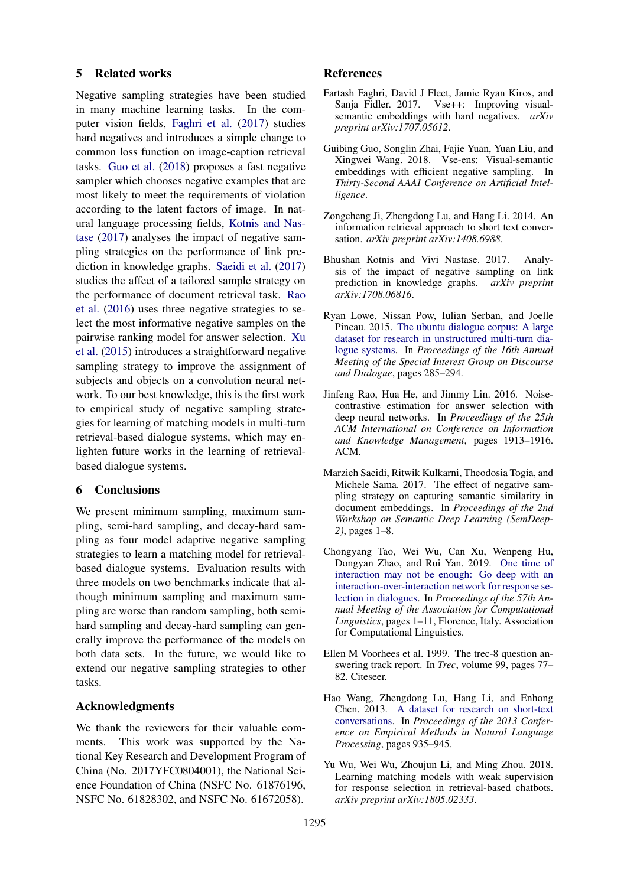# 5 Related works

Negative sampling strategies have been studied in many machine learning tasks. In the computer vision fields, [Faghri et al.](#page-4-7) [\(2017\)](#page-4-7) studies hard negatives and introduces a simple change to common loss function on image-caption retrieval tasks. [Guo et al.](#page-4-8) [\(2018\)](#page-4-8) proposes a fast negative sampler which chooses negative examples that are most likely to meet the requirements of violation according to the latent factors of image. In natural language processing fields, [Kotnis and Nas](#page-4-9)[tase](#page-4-9) [\(2017\)](#page-4-9) analyses the impact of negative sampling strategies on the performance of link prediction in knowledge graphs. [Saeidi et al.](#page-4-10) [\(2017\)](#page-4-10) studies the affect of a tailored sample strategy on the performance of document retrieval task. [Rao](#page-4-5) [et al.](#page-4-5) [\(2016\)](#page-4-5) uses three negative strategies to select the most informative negative samples on the pairwise ranking model for answer selection. [Xu](#page-5-6) [et al.](#page-5-6) [\(2015\)](#page-5-6) introduces a straightforward negative sampling strategy to improve the assignment of subjects and objects on a convolution neural network. To our best knowledge, this is the first work to empirical study of negative sampling strategies for learning of matching models in multi-turn retrieval-based dialogue systems, which may enlighten future works in the learning of retrievalbased dialogue systems.

# 6 Conclusions

We present minimum sampling, maximum sampling, semi-hard sampling, and decay-hard sampling as four model adaptive negative sampling strategies to learn a matching model for retrievalbased dialogue systems. Evaluation results with three models on two benchmarks indicate that although minimum sampling and maximum sampling are worse than random sampling, both semihard sampling and decay-hard sampling can generally improve the performance of the models on both data sets. In the future, we would like to extend our negative sampling strategies to other tasks.

# Acknowledgments

We thank the reviewers for their valuable comments. This work was supported by the National Key Research and Development Program of China (No. 2017YFC0804001), the National Science Foundation of China (NSFC No. 61876196, NSFC No. 61828302, and NSFC No. 61672058).

### References

- <span id="page-4-7"></span>Fartash Faghri, David J Fleet, Jamie Ryan Kiros, and Sanja Fidler. 2017. Vse++: Improving visualsemantic embeddings with hard negatives. *arXiv preprint arXiv:1707.05612*.
- <span id="page-4-8"></span>Guibing Guo, Songlin Zhai, Fajie Yuan, Yuan Liu, and Xingwei Wang. 2018. Vse-ens: Visual-semantic embeddings with efficient negative sampling. In *Thirty-Second AAAI Conference on Artificial Intelligence*.
- <span id="page-4-0"></span>Zongcheng Ji, Zhengdong Lu, and Hang Li. 2014. An information retrieval approach to short text conversation. *arXiv preprint arXiv:1408.6988*.
- <span id="page-4-9"></span>Bhushan Kotnis and Vivi Nastase. 2017. Analysis of the impact of negative sampling on link prediction in knowledge graphs. *arXiv preprint arXiv:1708.06816*.
- <span id="page-4-2"></span>Ryan Lowe, Nissan Pow, Iulian Serban, and Joelle Pineau. 2015. [The ubuntu dialogue corpus: A large](https://doi.org/10.18653/v1/W15-4640) [dataset for research in unstructured multi-turn dia](https://doi.org/10.18653/v1/W15-4640)[logue systems.](https://doi.org/10.18653/v1/W15-4640) In *Proceedings of the 16th Annual Meeting of the Special Interest Group on Discourse and Dialogue*, pages 285–294.
- <span id="page-4-5"></span>Jinfeng Rao, Hua He, and Jimmy Lin. 2016. Noisecontrastive estimation for answer selection with deep neural networks. In *Proceedings of the 25th ACM International on Conference on Information and Knowledge Management*, pages 1913–1916. ACM.
- <span id="page-4-10"></span>Marzieh Saeidi, Ritwik Kulkarni, Theodosia Togia, and Michele Sama. 2017. The effect of negative sampling strategy on capturing semantic similarity in document embeddings. In *Proceedings of the 2nd Workshop on Semantic Deep Learning (SemDeep-2)*, pages 1–8.
- <span id="page-4-3"></span>Chongyang Tao, Wei Wu, Can Xu, Wenpeng Hu, Dongyan Zhao, and Rui Yan. 2019. [One time of](https://www.aclweb.org/anthology/P19-1001) [interaction may not be enough: Go deep with an](https://www.aclweb.org/anthology/P19-1001) [interaction-over-interaction network for response se](https://www.aclweb.org/anthology/P19-1001)[lection in dialogues.](https://www.aclweb.org/anthology/P19-1001) In *Proceedings of the 57th Annual Meeting of the Association for Computational Linguistics*, pages 1–11, Florence, Italy. Association for Computational Linguistics.
- <span id="page-4-6"></span>Ellen M Voorhees et al. 1999. The trec-8 question answering track report. In *Trec*, volume 99, pages 77– 82. Citeseer.
- <span id="page-4-1"></span>Hao Wang, Zhengdong Lu, Hang Li, and Enhong Chen. 2013. [A dataset for research on short-text](http://aclweb.org/anthology/D13-1096) [conversations.](http://aclweb.org/anthology/D13-1096) In *Proceedings of the 2013 Conference on Empirical Methods in Natural Language Processing*, pages 935–945.
- <span id="page-4-4"></span>Yu Wu, Wei Wu, Zhoujun Li, and Ming Zhou. 2018. Learning matching models with weak supervision for response selection in retrieval-based chatbots. *arXiv preprint arXiv:1805.02333*.